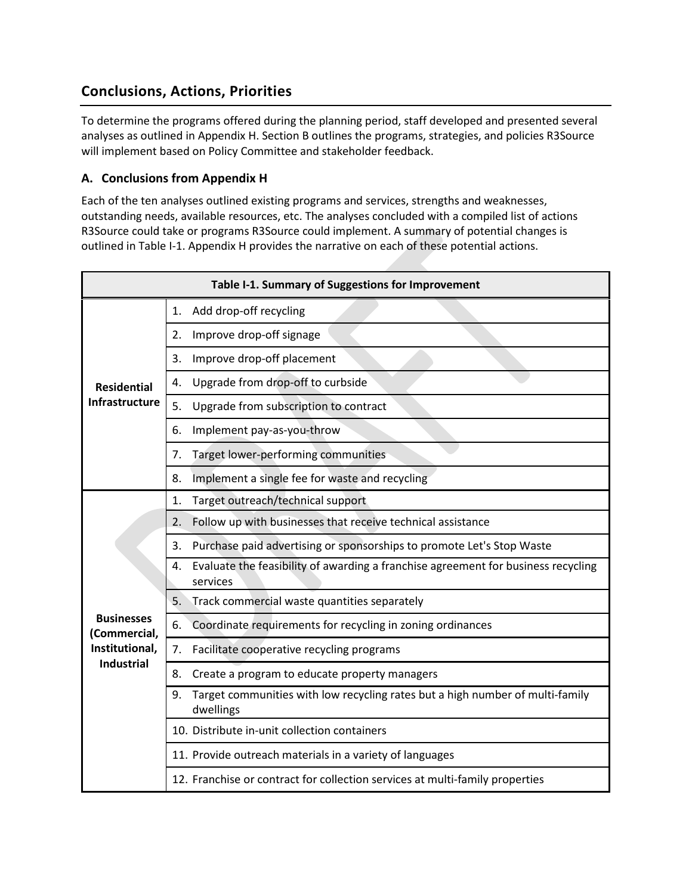# **Conclusions, Actions, Priorities**

To determine the programs offered during the planning period, staff developed and presented several analyses as outlined in Appendix H. Section B outlines the programs, strategies, and policies R3Source will implement based on Policy Committee and stakeholder feedback.

### **A. Conclusions from Appendix H**

Each of the ten analyses outlined existing programs and services, strengths and weaknesses, outstanding needs, available resources, etc. The analyses concluded with a compiled list of actions R3Source could take or programs R3Source could implement. A summary of potential changes is outlined in Table I-1. Appendix H provides the narrative on each of these potential actions.

|                                   | Table I-1. Summary of Suggestions for Improvement                                                   |
|-----------------------------------|-----------------------------------------------------------------------------------------------------|
|                                   | Add drop-off recycling<br>1.                                                                        |
|                                   | Improve drop-off signage<br>2.                                                                      |
|                                   | Improve drop-off placement<br>3.                                                                    |
| <b>Residential</b>                | Upgrade from drop-off to curbside<br>4.                                                             |
| <b>Infrastructure</b>             | 5.<br>Upgrade from subscription to contract                                                         |
|                                   | Implement pay-as-you-throw<br>6.                                                                    |
|                                   | Target lower-performing communities<br>7.                                                           |
|                                   | Implement a single fee for waste and recycling<br>8.                                                |
|                                   | Target outreach/technical support<br>1.                                                             |
|                                   | Follow up with businesses that receive technical assistance<br>2.                                   |
|                                   | Purchase paid advertising or sponsorships to promote Let's Stop Waste<br>3.                         |
|                                   | Evaluate the feasibility of awarding a franchise agreement for business recycling<br>4.<br>services |
|                                   | Track commercial waste quantities separately<br>5.                                                  |
| <b>Businesses</b><br>(Commercial, | Coordinate requirements for recycling in zoning ordinances<br>6.                                    |
| Institutional,                    | 7 <sub>1</sub><br>Facilitate cooperative recycling programs                                         |
| <b>Industrial</b>                 | 8.<br>Create a program to educate property managers                                                 |
|                                   | Target communities with low recycling rates but a high number of multi-family<br>9.<br>dwellings    |
|                                   | 10. Distribute in-unit collection containers                                                        |
|                                   | 11. Provide outreach materials in a variety of languages                                            |
|                                   | 12. Franchise or contract for collection services at multi-family properties                        |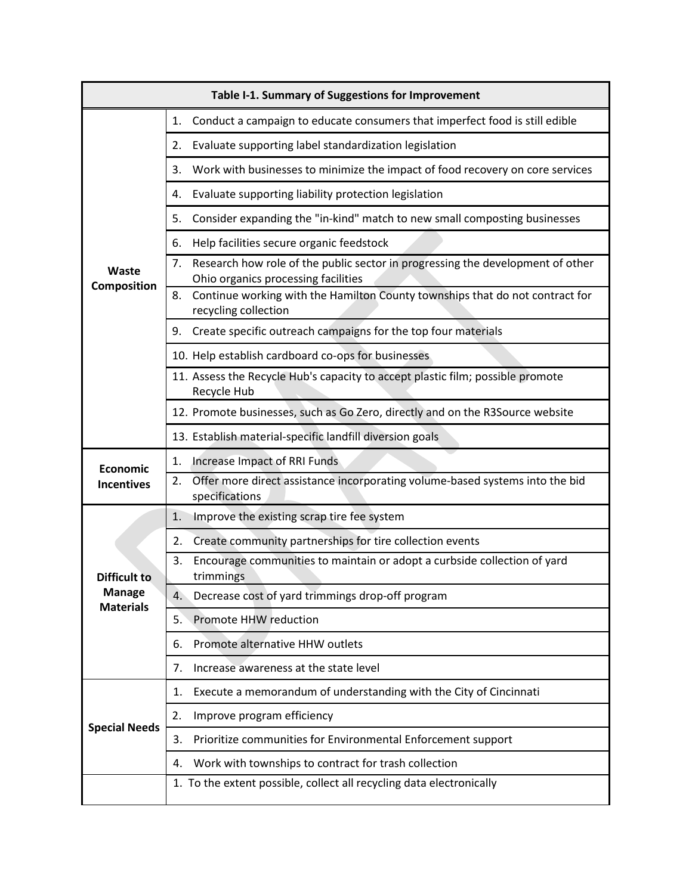|                                   | Table I-1. Summary of Suggestions for Improvement                                                                           |
|-----------------------------------|-----------------------------------------------------------------------------------------------------------------------------|
|                                   | Conduct a campaign to educate consumers that imperfect food is still edible<br>1.                                           |
|                                   | Evaluate supporting label standardization legislation<br>2.                                                                 |
|                                   | Work with businesses to minimize the impact of food recovery on core services<br>3.                                         |
|                                   | Evaluate supporting liability protection legislation<br>4.                                                                  |
|                                   | Consider expanding the "in-kind" match to new small composting businesses<br>5.                                             |
|                                   | Help facilities secure organic feedstock<br>6.                                                                              |
| Waste<br>Composition              | Research how role of the public sector in progressing the development of other<br>7.<br>Ohio organics processing facilities |
|                                   | 8. Continue working with the Hamilton County townships that do not contract for<br>recycling collection                     |
|                                   | Create specific outreach campaigns for the top four materials<br>9.                                                         |
|                                   | 10. Help establish cardboard co-ops for businesses                                                                          |
|                                   | 11. Assess the Recycle Hub's capacity to accept plastic film; possible promote<br>Recycle Hub                               |
|                                   | 12. Promote businesses, such as Go Zero, directly and on the R3Source website                                               |
|                                   | 13. Establish material-specific landfill diversion goals                                                                    |
| Economic                          | Increase Impact of RRI Funds<br>1.                                                                                          |
| <b>Incentives</b>                 | Offer more direct assistance incorporating volume-based systems into the bid<br>2.<br>specifications                        |
|                                   | 1.<br>Improve the existing scrap tire fee system                                                                            |
|                                   | Create community partnerships for tire collection events<br>2.                                                              |
| <b>Difficult to</b>               | Encourage communities to maintain or adopt a curbside collection of yard<br>3.<br>trimmings                                 |
| <b>Manage</b><br><b>Materials</b> | Decrease cost of yard trimmings drop-off program<br>4.                                                                      |
|                                   | Promote HHW reduction<br>5.                                                                                                 |
|                                   | Promote alternative HHW outlets<br>6.                                                                                       |
|                                   | Increase awareness at the state level<br>7.                                                                                 |
|                                   | Execute a memorandum of understanding with the City of Cincinnati<br>1.                                                     |
|                                   | Improve program efficiency<br>2.                                                                                            |
| <b>Special Needs</b>              | Prioritize communities for Environmental Enforcement support<br>3.                                                          |
|                                   | Work with townships to contract for trash collection<br>4.                                                                  |
|                                   | 1. To the extent possible, collect all recycling data electronically                                                        |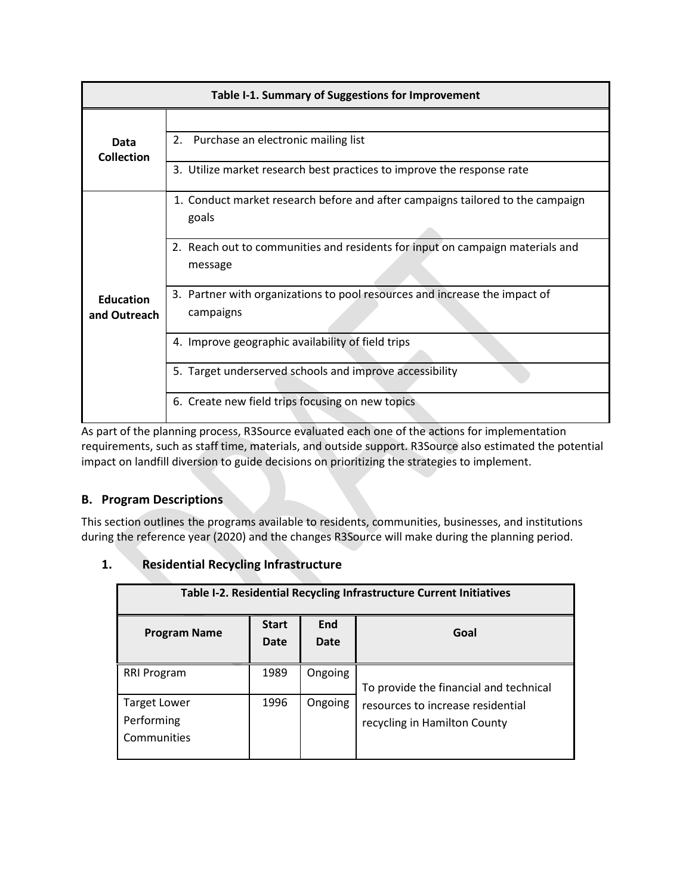|                                  | Table I-1. Summary of Suggestions for Improvement                                        |
|----------------------------------|------------------------------------------------------------------------------------------|
|                                  |                                                                                          |
| Data<br>Collection               | 2. Purchase an electronic mailing list                                                   |
|                                  | 3. Utilize market research best practices to improve the response rate                   |
|                                  | 1. Conduct market research before and after campaigns tailored to the campaign<br>goals  |
| <b>Education</b><br>and Outreach | 2. Reach out to communities and residents for input on campaign materials and<br>message |
|                                  | 3. Partner with organizations to pool resources and increase the impact of<br>campaigns  |
|                                  | 4. Improve geographic availability of field trips                                        |
|                                  | 5. Target underserved schools and improve accessibility                                  |
|                                  | 6. Create new field trips focusing on new topics                                         |

As part of the planning process, R3Source evaluated each one of the actions for implementation requirements, such as staff time, materials, and outside support. R3Source also estimated the potential impact on landfill diversion to guide decisions on prioritizing the strategies to implement.

# **B. Program Descriptions**

This section outlines the programs available to residents, communities, businesses, and institutions during the reference year (2020) and the changes R3Source will make during the planning period.

## **1. Residential Recycling Infrastructure**

| Table I-2. Residential Recycling Infrastructure Current Initiatives |                      |             |                                                                   |  |  |  |  |
|---------------------------------------------------------------------|----------------------|-------------|-------------------------------------------------------------------|--|--|--|--|
| <b>Program Name</b>                                                 | <b>Start</b><br>Date | End<br>Date | Goal                                                              |  |  |  |  |
| RRI Program                                                         | 1989                 | Ongoing     | To provide the financial and technical                            |  |  |  |  |
| Target Lower<br>Performing<br>Communities                           | 1996                 | Ongoing     | resources to increase residential<br>recycling in Hamilton County |  |  |  |  |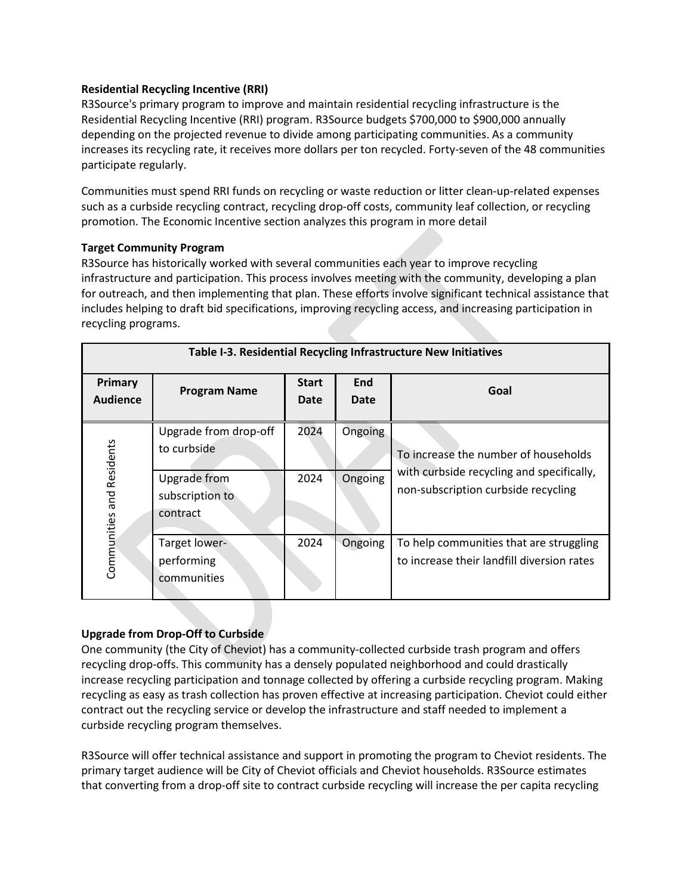### **Residential Recycling Incentive (RRI)**

R3Source's primary program to improve and maintain residential recycling infrastructure is the Residential Recycling Incentive (RRI) program. R3Source budgets \$700,000 to \$900,000 annually depending on the projected revenue to divide among participating communities. As a community increases its recycling rate, it receives more dollars per ton recycled. Forty-seven of the 48 communities participate regularly.

Communities must spend RRI funds on recycling or waste reduction or litter clean-up-related expenses such as a curbside recycling contract, recycling drop-off costs, community leaf collection, or recycling promotion. The Economic Incentive section analyzes this program in more detail

#### **Target Community Program**

R3Source has historically worked with several communities each year to improve recycling infrastructure and participation. This process involves meeting with the community, developing a plan for outreach, and then implementing that plan. These efforts involve significant technical assistance that includes helping to draft bid specifications, improving recycling access, and increasing participation in recycling programs.

|                                   | Table I-3. Residential Recycling Infrastructure New Initiatives |                      |                    |                                                                                       |  |  |  |
|-----------------------------------|-----------------------------------------------------------------|----------------------|--------------------|---------------------------------------------------------------------------------------|--|--|--|
| <b>Primary</b><br><b>Audience</b> | <b>Program Name</b>                                             | <b>Start</b><br>Date | End<br><b>Date</b> | Goal                                                                                  |  |  |  |
|                                   | Upgrade from drop-off<br>to curbside                            | 2024                 | Ongoing            | To increase the number of households                                                  |  |  |  |
| Communities and Residents         | Upgrade from<br>subscription to<br>contract                     | 2024                 | Ongoing            | with curbside recycling and specifically,<br>non-subscription curbside recycling      |  |  |  |
|                                   | Target lower-<br>performing<br>communities                      | 2024                 | Ongoing            | To help communities that are struggling<br>to increase their landfill diversion rates |  |  |  |

### **Upgrade from Drop-Off to Curbside**

One community (the City of Cheviot) has a community-collected curbside trash program and offers recycling drop-offs. This community has a densely populated neighborhood and could drastically increase recycling participation and tonnage collected by offering a curbside recycling program. Making recycling as easy as trash collection has proven effective at increasing participation. Cheviot could either contract out the recycling service or develop the infrastructure and staff needed to implement a curbside recycling program themselves.

R3Source will offer technical assistance and support in promoting the program to Cheviot residents. The primary target audience will be City of Cheviot officials and Cheviot households. R3Source estimates that converting from a drop-off site to contract curbside recycling will increase the per capita recycling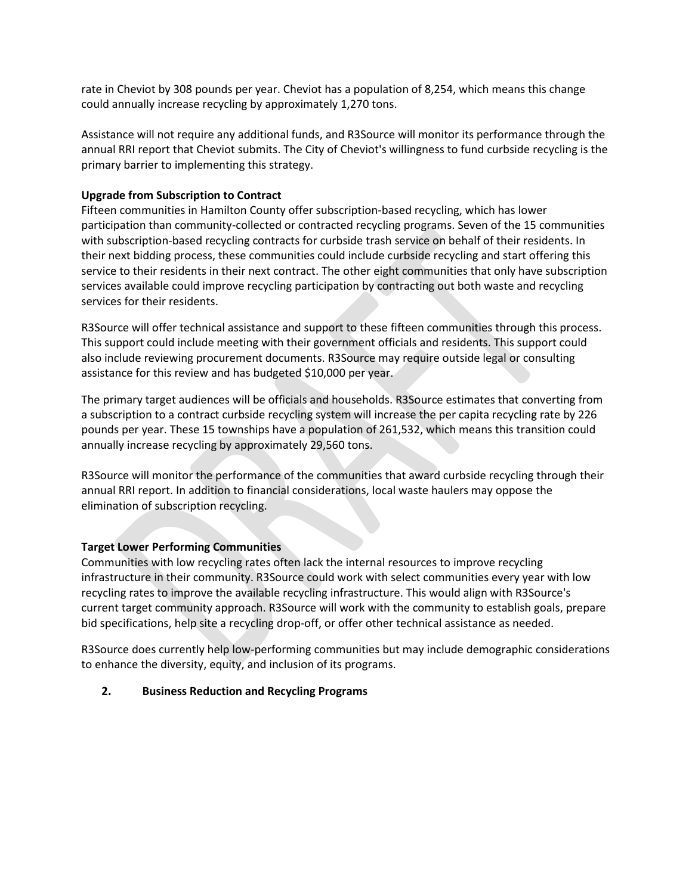rate in Cheviot by 308 pounds per year. Cheviot has a population of 8,254, which means this change could annually increase recycling by approximately 1,270 tons.

Assistance will not require any additional funds, and R3Source will monitor its performance through the annual RRI report that Cheviot submits. The City of Cheviot's willingness to fund curbside recycling is the primary barrier to implementing this strategy.

#### **Upgrade from Subscription to Contract**

Fifteen communities in Hamilton County offer subscription-based recycling, which has lower participation than community-collected or contracted recycling programs. Seven of the 15 communities with subscription-based recycling contracts for curbside trash service on behalf of their residents. In their next bidding process, these communities could include curbside recycling and start offering this service to their residents in their next contract. The other eight communities that only have subscription services available could improve recycling participation by contracting out both waste and recycling services for their residents.

R3Source will offer technical assistance and support to these fifteen communities through this process. This support could include meeting with their government officials and residents. This support could also include reviewing procurement documents. R3Source may require outside legal or consulting assistance for this review and has budgeted \$10,000 per year.

The primary target audiences will be officials and households. R3Source estimates that converting from a subscription to a contract curbside recycling system will increase the per capita recycling rate by 226 pounds per year. These 15 townships have a population of 261,532, which means this transition could annually increase recycling by approximately 29,560 tons.

R3Source will monitor the performance of the communities that award curbside recycling through their annual RRI report. In addition to financial considerations, local waste haulers may oppose the elimination of subscription recycling.

### **Target Lower Performing Communities**

Communities with low recycling rates often lack the internal resources to improve recycling infrastructure in their community. R3Source could work with select communities every year with low recycling rates to improve the available recycling infrastructure. This would align with R3Source's current target community approach. R3Source will work with the community to establish goals, prepare bid specifications, help site a recycling drop-off, or offer other technical assistance as needed.

R3Source does currently help low-performing communities but may include demographic considerations to enhance the diversity, equity, and inclusion of its programs.

#### **2. Business Reduction and Recycling Programs**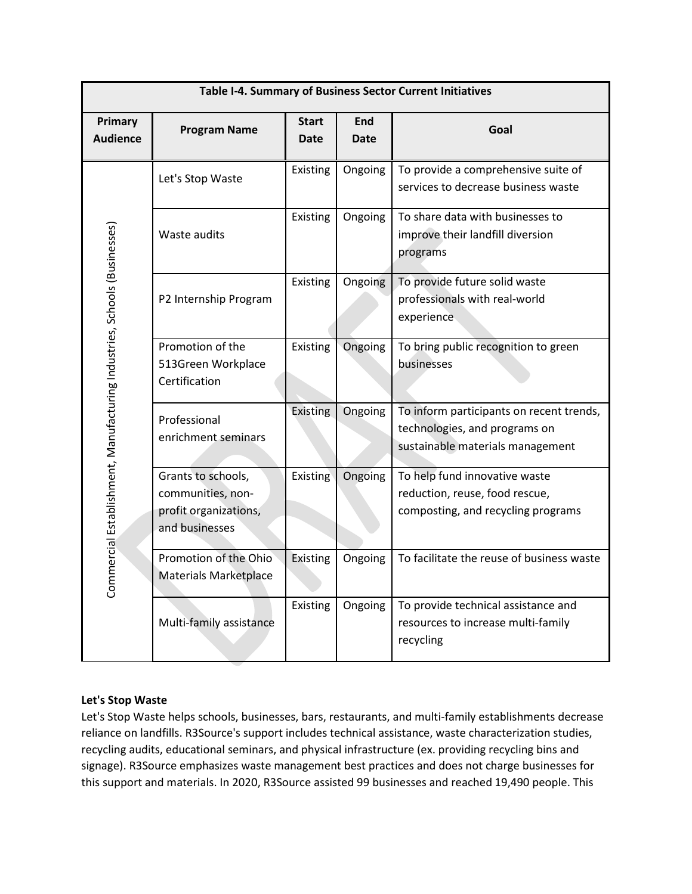|                                                                          | Table I-4. Summary of Business Sector Current Initiatives                          |                             |                           |                                                                                                               |  |  |
|--------------------------------------------------------------------------|------------------------------------------------------------------------------------|-----------------------------|---------------------------|---------------------------------------------------------------------------------------------------------------|--|--|
| Primary<br><b>Audience</b>                                               | <b>Program Name</b>                                                                | <b>Start</b><br><b>Date</b> | <b>End</b><br><b>Date</b> | Goal                                                                                                          |  |  |
|                                                                          | Let's Stop Waste                                                                   | <b>Existing</b>             | Ongoing                   | To provide a comprehensive suite of<br>services to decrease business waste                                    |  |  |
|                                                                          | Waste audits                                                                       | Existing                    | Ongoing                   | To share data with businesses to<br>improve their landfill diversion<br>programs                              |  |  |
|                                                                          | P2 Internship Program                                                              | Existing                    | Ongoing                   | To provide future solid waste<br>professionals with real-world<br>experience                                  |  |  |
| Commercial Establishment, Manufacturing Industries, Schools (Businesses) | Promotion of the<br>513Green Workplace<br>Certification                            | Existing                    | Ongoing                   | To bring public recognition to green<br>businesses                                                            |  |  |
|                                                                          | Professional<br>enrichment seminars                                                | Existing                    | Ongoing                   | To inform participants on recent trends,<br>technologies, and programs on<br>sustainable materials management |  |  |
|                                                                          | Grants to schools,<br>communities, non-<br>profit organizations,<br>and businesses | Existing                    | Ongoing                   | To help fund innovative waste<br>reduction, reuse, food rescue,<br>composting, and recycling programs         |  |  |
|                                                                          | Promotion of the Ohio<br><b>Materials Marketplace</b>                              | Existing                    | Ongoing                   | To facilitate the reuse of business waste                                                                     |  |  |
|                                                                          | Multi-family assistance                                                            | Existing                    | Ongoing                   | To provide technical assistance and<br>resources to increase multi-family<br>recycling                        |  |  |

### **Let's Stop Waste**

Let's Stop Waste helps schools, businesses, bars, restaurants, and multi-family establishments decrease reliance on landfills. R3Source's support includes technical assistance, waste characterization studies, recycling audits, educational seminars, and physical infrastructure (ex. providing recycling bins and signage). R3Source emphasizes waste management best practices and does not charge businesses for this support and materials. In 2020, R3Source assisted 99 businesses and reached 19,490 people. This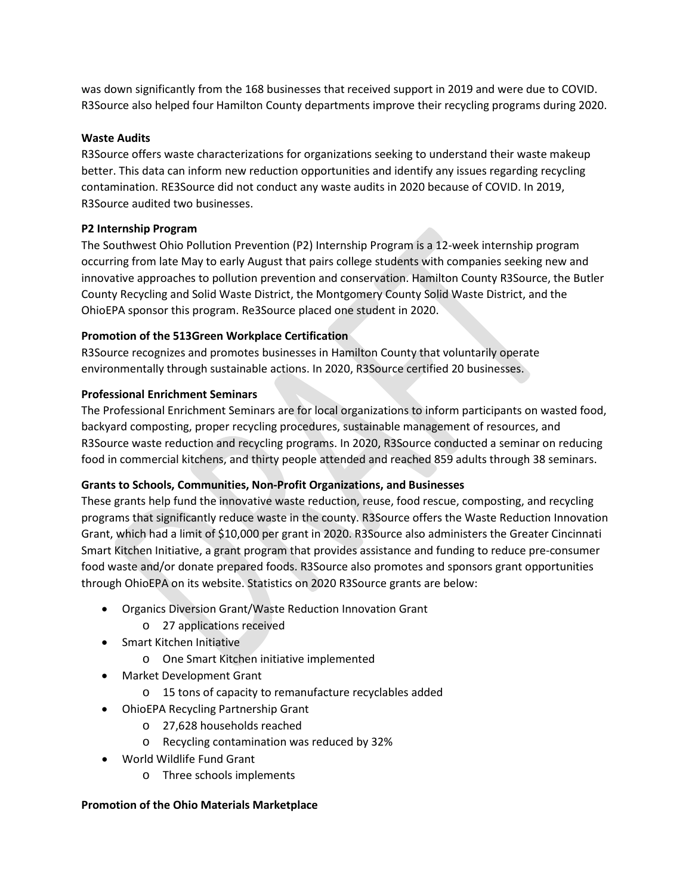was down significantly from the 168 businesses that received support in 2019 and were due to COVID. R3Source also helped four Hamilton County departments improve their recycling programs during 2020.

### **Waste Audits**

R3Source offers waste characterizations for organizations seeking to understand their waste makeup better. This data can inform new reduction opportunities and identify any issues regarding recycling contamination. RE3Source did not conduct any waste audits in 2020 because of COVID. In 2019, R3Source audited two businesses.

### **P2 Internship Program**

The Southwest Ohio Pollution Prevention (P2) Internship Program is a 12-week internship program occurring from late May to early August that pairs college students with companies seeking new and innovative approaches to pollution prevention and conservation. Hamilton County R3Source, the Butler County Recycling and Solid Waste District, the Montgomery County Solid Waste District, and the OhioEPA sponsor this program. Re3Source placed one student in 2020.

### **Promotion of the 513Green Workplace Certification**

R3Source recognizes and promotes businesses in Hamilton County that voluntarily operate environmentally through sustainable actions. In 2020, R3Source certified 20 businesses.

### **Professional Enrichment Seminars**

The Professional Enrichment Seminars are for local organizations to inform participants on wasted food, backyard composting, proper recycling procedures, sustainable management of resources, and R3Source waste reduction and recycling programs. In 2020, R3Source conducted a seminar on reducing food in commercial kitchens, and thirty people attended and reached 859 adults through 38 seminars.

### **Grants to Schools, Communities, Non-Profit Organizations, and Businesses**

These grants help fund the innovative waste reduction, reuse, food rescue, composting, and recycling programs that significantly reduce waste in the county. R3Source offers the Waste Reduction Innovation Grant, which had a limit of \$10,000 per grant in 2020. R3Source also administers the Greater Cincinnati Smart Kitchen Initiative, a grant program that provides assistance and funding to reduce pre-consumer food waste and/or donate prepared foods. R3Source also promotes and sponsors grant opportunities through OhioEPA on its website. Statistics on 2020 R3Source grants are below:

- Organics Diversion Grant/Waste Reduction Innovation Grant
	- o 27 applications received
- Smart Kitchen Initiative
	- o One Smart Kitchen initiative implemented
- Market Development Grant
	- o 15 tons of capacity to remanufacture recyclables added
- OhioEPA Recycling Partnership Grant
	- o 27,628 households reached
	- o Recycling contamination was reduced by 32%
- World Wildlife Fund Grant
	- o Three schools implements

### **Promotion of the Ohio Materials Marketplace**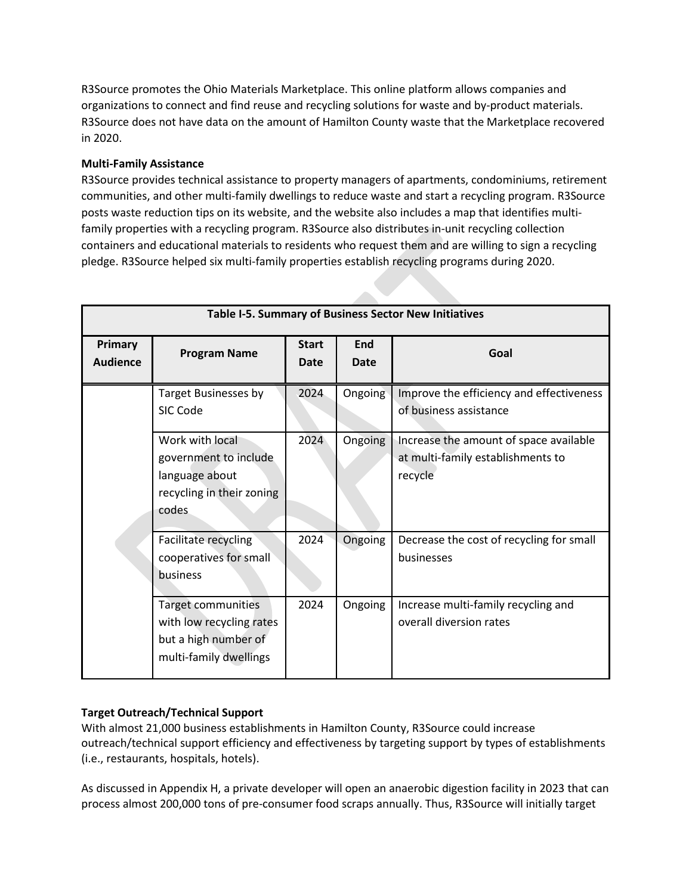R3Source promotes the Ohio Materials Marketplace. This online platform allows companies and organizations to connect and find reuse and recycling solutions for waste and by-product materials. R3Source does not have data on the amount of Hamilton County waste that the Marketplace recovered in 2020.

### **Multi-Family Assistance**

R3Source provides technical assistance to property managers of apartments, condominiums, retirement communities, and other multi-family dwellings to reduce waste and start a recycling program. R3Source posts waste reduction tips on its website, and the website also includes a map that identifies multifamily properties with a recycling program. R3Source also distributes in-unit recycling collection containers and educational materials to residents who request them and are willing to sign a recycling pledge. R3Source helped six multi-family properties establish recycling programs during 2020.

|                            | Table I-5. Summary of Business Sector New Initiatives                                            |                             |             |                                                                                        |  |  |  |
|----------------------------|--------------------------------------------------------------------------------------------------|-----------------------------|-------------|----------------------------------------------------------------------------------------|--|--|--|
| Primary<br><b>Audience</b> | <b>Program Name</b>                                                                              | <b>Start</b><br><b>Date</b> | End<br>Date | Goal                                                                                   |  |  |  |
|                            | <b>Target Businesses by</b><br>SIC Code                                                          | 2024                        | Ongoing     | Improve the efficiency and effectiveness<br>of business assistance                     |  |  |  |
|                            | Work with local<br>government to include<br>language about<br>recycling in their zoning<br>codes | 2024                        | Ongoing     | Increase the amount of space available<br>at multi-family establishments to<br>recycle |  |  |  |
|                            | Facilitate recycling<br>cooperatives for small<br>business                                       | 2024                        | Ongoing     | Decrease the cost of recycling for small<br>businesses                                 |  |  |  |
|                            | Target communities<br>with low recycling rates<br>but a high number of<br>multi-family dwellings | 2024                        | Ongoing     | Increase multi-family recycling and<br>overall diversion rates                         |  |  |  |

### **Target Outreach/Technical Support**

With almost 21,000 business establishments in Hamilton County, R3Source could increase outreach/technical support efficiency and effectiveness by targeting support by types of establishments (i.e., restaurants, hospitals, hotels).

As discussed in Appendix H, a private developer will open an anaerobic digestion facility in 2023 that can process almost 200,000 tons of pre-consumer food scraps annually. Thus, R3Source will initially target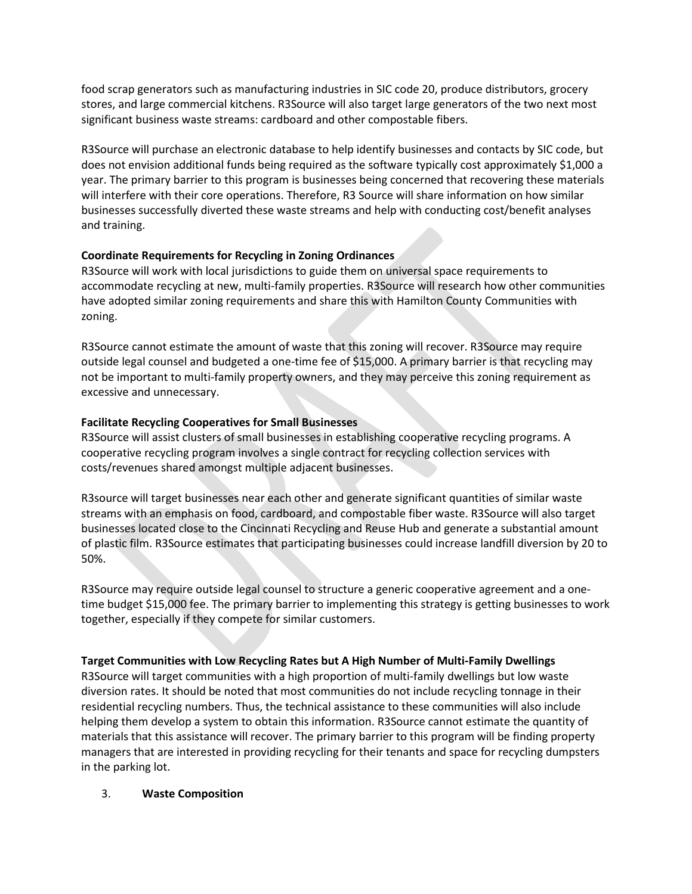food scrap generators such as manufacturing industries in SIC code 20, produce distributors, grocery stores, and large commercial kitchens. R3Source will also target large generators of the two next most significant business waste streams: cardboard and other compostable fibers.

R3Source will purchase an electronic database to help identify businesses and contacts by SIC code, but does not envision additional funds being required as the software typically cost approximately \$1,000 a year. The primary barrier to this program is businesses being concerned that recovering these materials will interfere with their core operations. Therefore, R3 Source will share information on how similar businesses successfully diverted these waste streams and help with conducting cost/benefit analyses and training.

### **Coordinate Requirements for Recycling in Zoning Ordinances**

R3Source will work with local jurisdictions to guide them on universal space requirements to accommodate recycling at new, multi-family properties. R3Source will research how other communities have adopted similar zoning requirements and share this with Hamilton County Communities with zoning.

R3Source cannot estimate the amount of waste that this zoning will recover. R3Source may require outside legal counsel and budgeted a one-time fee of \$15,000. A primary barrier is that recycling may not be important to multi-family property owners, and they may perceive this zoning requirement as excessive and unnecessary.

### **Facilitate Recycling Cooperatives for Small Businesses**

R3Source will assist clusters of small businesses in establishing cooperative recycling programs. A cooperative recycling program involves a single contract for recycling collection services with costs/revenues shared amongst multiple adjacent businesses.

R3source will target businesses near each other and generate significant quantities of similar waste streams with an emphasis on food, cardboard, and compostable fiber waste. R3Source will also target businesses located close to the Cincinnati Recycling and Reuse Hub and generate a substantial amount of plastic film. R3Source estimates that participating businesses could increase landfill diversion by 20 to 50%.

R3Source may require outside legal counsel to structure a generic cooperative agreement and a onetime budget \$15,000 fee. The primary barrier to implementing this strategy is getting businesses to work together, especially if they compete for similar customers.

### **Target Communities with Low Recycling Rates but A High Number of Multi-Family Dwellings**

R3Source will target communities with a high proportion of multi-family dwellings but low waste diversion rates. It should be noted that most communities do not include recycling tonnage in their residential recycling numbers. Thus, the technical assistance to these communities will also include helping them develop a system to obtain this information. R3Source cannot estimate the quantity of materials that this assistance will recover. The primary barrier to this program will be finding property managers that are interested in providing recycling for their tenants and space for recycling dumpsters in the parking lot.

### 3. **Waste Composition**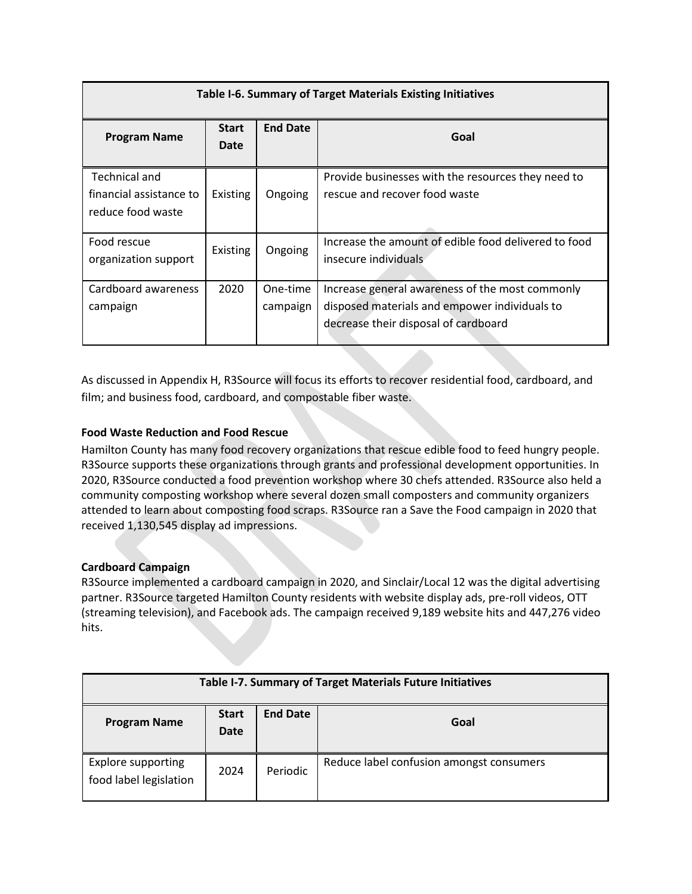| Table I-6. Summary of Target Materials Existing Initiatives          |                      |                      |                                                                                                                                          |  |  |  |
|----------------------------------------------------------------------|----------------------|----------------------|------------------------------------------------------------------------------------------------------------------------------------------|--|--|--|
| <b>Program Name</b>                                                  | <b>Start</b><br>Date | <b>End Date</b>      | Goal                                                                                                                                     |  |  |  |
| <b>Technical and</b><br>financial assistance to<br>reduce food waste | Existing             | Ongoing              | Provide businesses with the resources they need to<br>rescue and recover food waste                                                      |  |  |  |
| Food rescue<br>organization support                                  | Existing             | Ongoing              | Increase the amount of edible food delivered to food<br>insecure individuals                                                             |  |  |  |
| Cardboard awareness<br>campaign                                      | 2020                 | One-time<br>campaign | Increase general awareness of the most commonly<br>disposed materials and empower individuals to<br>decrease their disposal of cardboard |  |  |  |

As discussed in Appendix H, R3Source will focus its efforts to recover residential food, cardboard, and film; and business food, cardboard, and compostable fiber waste.

### **Food Waste Reduction and Food Rescue**

Hamilton County has many food recovery organizations that rescue edible food to feed hungry people. R3Source supports these organizations through grants and professional development opportunities. In 2020, R3Source conducted a food prevention workshop where 30 chefs attended. R3Source also held a community composting workshop where several dozen small composters and community organizers attended to learn about composting food scraps. R3Source ran a Save the Food campaign in 2020 that received 1,130,545 display ad impressions.

### **Cardboard Campaign**

R3Source implemented a cardboard campaign in 2020, and Sinclair/Local 12 was the digital advertising partner. R3Source targeted Hamilton County residents with website display ads, pre-roll videos, OTT (streaming television), and Facebook ads. The campaign received 9,189 website hits and 447,276 video hits.

| Table I-7. Summary of Target Materials Future Initiatives |                      |                 |                                          |  |  |
|-----------------------------------------------------------|----------------------|-----------------|------------------------------------------|--|--|
| <b>Program Name</b>                                       | <b>Start</b><br>Date | <b>End Date</b> | Goal                                     |  |  |
| <b>Explore supporting</b><br>food label legislation       | 2024                 | Periodic        | Reduce label confusion amongst consumers |  |  |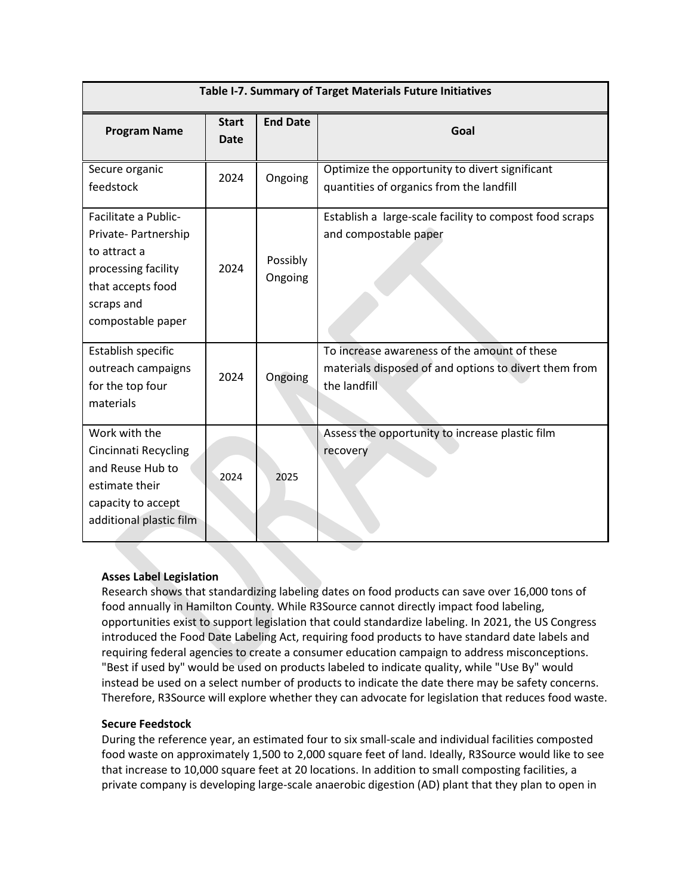|                                                                                                                                            | Table I-7. Summary of Target Materials Future Initiatives |                     |                                                                                                                       |  |  |  |
|--------------------------------------------------------------------------------------------------------------------------------------------|-----------------------------------------------------------|---------------------|-----------------------------------------------------------------------------------------------------------------------|--|--|--|
| <b>Program Name</b>                                                                                                                        | <b>Start</b><br>Date                                      | <b>End Date</b>     | Goal                                                                                                                  |  |  |  |
| Secure organic<br>feedstock                                                                                                                | 2024                                                      | Ongoing             | Optimize the opportunity to divert significant<br>quantities of organics from the landfill                            |  |  |  |
| Facilitate a Public-<br>Private-Partnership<br>to attract a<br>processing facility<br>that accepts food<br>scraps and<br>compostable paper | 2024                                                      | Possibly<br>Ongoing | Establish a large-scale facility to compost food scraps<br>and compostable paper                                      |  |  |  |
| Establish specific<br>outreach campaigns<br>for the top four<br>materials                                                                  | 2024                                                      | Ongoing             | To increase awareness of the amount of these<br>materials disposed of and options to divert them from<br>the landfill |  |  |  |
| Work with the<br>Cincinnati Recycling<br>and Reuse Hub to<br>estimate their<br>capacity to accept<br>additional plastic film               | 2024                                                      | 2025                | Assess the opportunity to increase plastic film<br>recovery                                                           |  |  |  |

### **Asses Label Legislation**

Research shows that standardizing labeling dates on food products can save over 16,000 tons of food annually in Hamilton County. While R3Source cannot directly impact food labeling, opportunities exist to support legislation that could standardize labeling. In 2021, the US Congress introduced the Food Date Labeling Act, requiring food products to have standard date labels and requiring federal agencies to create a consumer education campaign to address misconceptions. "Best if used by" would be used on products labeled to indicate quality, while "Use By" would instead be used on a select number of products to indicate the date there may be safety concerns. Therefore, R3Source will explore whether they can advocate for legislation that reduces food waste.

### **Secure Feedstock**

During the reference year, an estimated four to six small-scale and individual facilities composted food waste on approximately 1,500 to 2,000 square feet of land. Ideally, R3Source would like to see that increase to 10,000 square feet at 20 locations. In addition to small composting facilities, a private company is developing large-scale anaerobic digestion (AD) plant that they plan to open in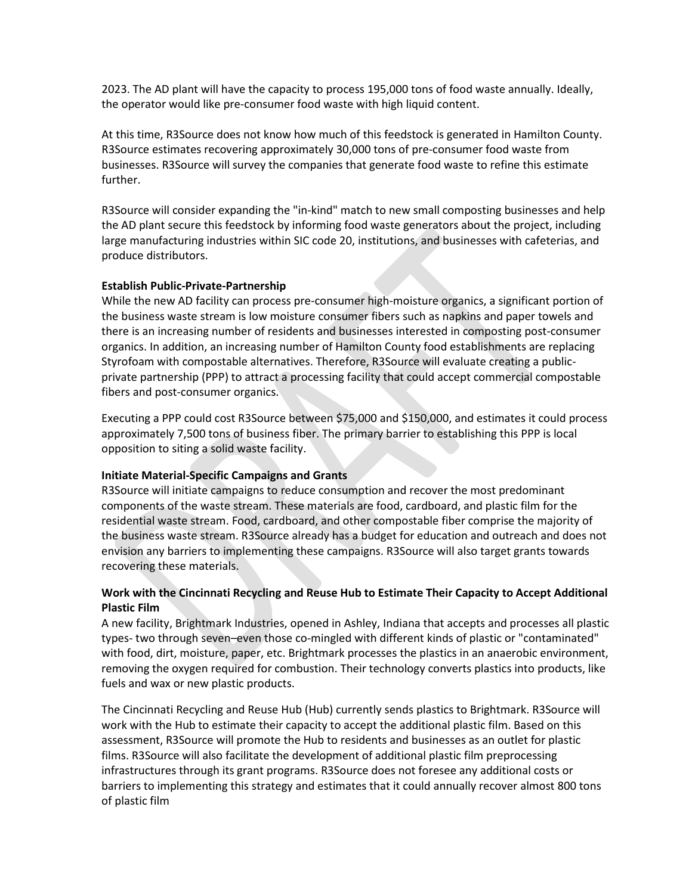2023. The AD plant will have the capacity to process 195,000 tons of food waste annually. Ideally, the operator would like pre-consumer food waste with high liquid content.

At this time, R3Source does not know how much of this feedstock is generated in Hamilton County. R3Source estimates recovering approximately 30,000 tons of pre-consumer food waste from businesses. R3Source will survey the companies that generate food waste to refine this estimate further.

R3Source will consider expanding the "in-kind" match to new small composting businesses and help the AD plant secure this feedstock by informing food waste generators about the project, including large manufacturing industries within SIC code 20, institutions, and businesses with cafeterias, and produce distributors.

#### **Establish Public-Private-Partnership**

While the new AD facility can process pre-consumer high-moisture organics, a significant portion of the business waste stream is low moisture consumer fibers such as napkins and paper towels and there is an increasing number of residents and businesses interested in composting post-consumer organics. In addition, an increasing number of Hamilton County food establishments are replacing Styrofoam with compostable alternatives. Therefore, R3Source will evaluate creating a publicprivate partnership (PPP) to attract a processing facility that could accept commercial compostable fibers and post-consumer organics.

Executing a PPP could cost R3Source between \$75,000 and \$150,000, and estimates it could process approximately 7,500 tons of business fiber. The primary barrier to establishing this PPP is local opposition to siting a solid waste facility.

#### **Initiate Material-Specific Campaigns and Grants**

R3Source will initiate campaigns to reduce consumption and recover the most predominant components of the waste stream. These materials are food, cardboard, and plastic film for the residential waste stream. Food, cardboard, and other compostable fiber comprise the majority of the business waste stream. R3Source already has a budget for education and outreach and does not envision any barriers to implementing these campaigns. R3Source will also target grants towards recovering these materials.

### **Work with the Cincinnati Recycling and Reuse Hub to Estimate Their Capacity to Accept Additional Plastic Film**

A new facility, Brightmark Industries, opened in Ashley, Indiana that accepts and processes all plastic types- two through seven–even those co-mingled with different kinds of plastic or "contaminated" with food, dirt, moisture, paper, etc. Brightmark processes the plastics in an anaerobic environment, removing the oxygen required for combustion. Their technology converts plastics into products, like fuels and wax or new plastic products.

The Cincinnati Recycling and Reuse Hub (Hub) currently sends plastics to Brightmark. R3Source will work with the Hub to estimate their capacity to accept the additional plastic film. Based on this assessment, R3Source will promote the Hub to residents and businesses as an outlet for plastic films. R3Source will also facilitate the development of additional plastic film preprocessing infrastructures through its grant programs. R3Source does not foresee any additional costs or barriers to implementing this strategy and estimates that it could annually recover almost 800 tons of plastic film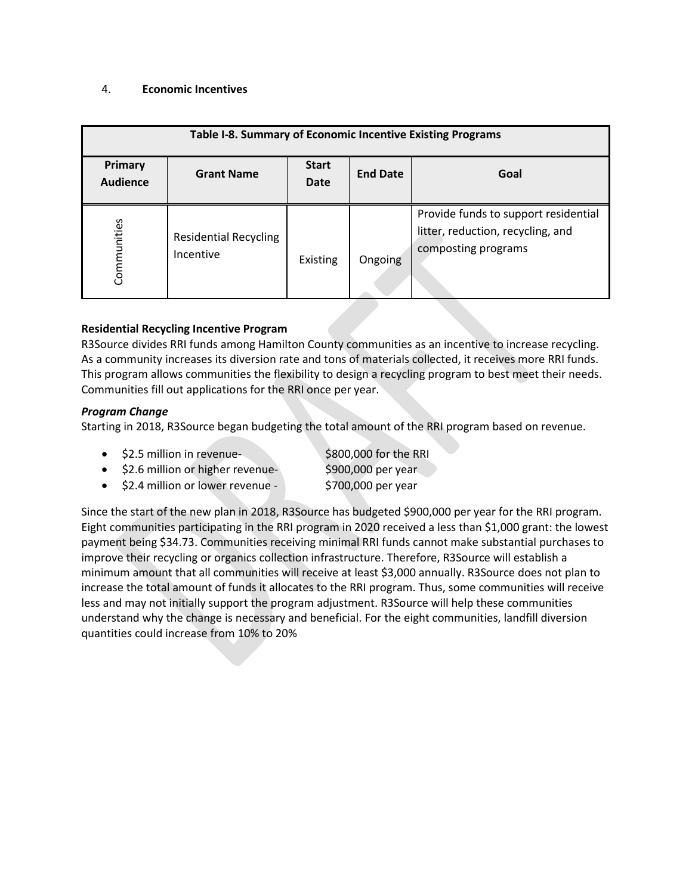#### 4. **Economic Incentives**

| Table I-8. Summary of Economic Incentive Existing Programs |                                           |                      |                 |                                                                                                  |  |  |
|------------------------------------------------------------|-------------------------------------------|----------------------|-----------------|--------------------------------------------------------------------------------------------------|--|--|
| Primary<br><b>Audience</b>                                 | <b>Grant Name</b>                         | <b>Start</b><br>Date | <b>End Date</b> | Goal                                                                                             |  |  |
| Communities                                                | <b>Residential Recycling</b><br>Incentive | Existing             | Ongoing         | Provide funds to support residential<br>litter, reduction, recycling, and<br>composting programs |  |  |

### **Residential Recycling Incentive Program**

R3Source divides RRI funds among Hamilton County communities as an incentive to increase recycling. As a community increases its diversion rate and tons of materials collected, it receives more RRI funds. This program allows communities the flexibility to design a recycling program to best meet their needs. Communities fill out applications for the RRI once per year.

#### *Program Change*

Starting in 2018, R3Source began budgeting the total amount of the RRI program based on revenue.

|  | \$2.5 million in revenue- |  |  |  | \$800,000 for the RRI |  |
|--|---------------------------|--|--|--|-----------------------|--|
|--|---------------------------|--|--|--|-----------------------|--|

- \$2.6 million or higher revenue-<br>\$900,000 per year
	-
- $\bullet$  \$2.4 million or lower revenue  $\phantom{0000000000}$   $\phantom{00000}$  per year

Since the start of the new plan in 2018, R3Source has budgeted \$900,000 per year for the RRI program. Eight communities participating in the RRI program in 2020 received a less than \$1,000 grant: the lowest payment being \$34.73. Communities receiving minimal RRI funds cannot make substantial purchases to improve their recycling or organics collection infrastructure. Therefore, R3Source will establish a minimum amount that all communities will receive at least \$3,000 annually. R3Source does not plan to increase the total amount of funds it allocates to the RRI program. Thus, some communities will receive less and may not initially support the program adjustment. R3Source will help these communities understand why the change is necessary and beneficial. For the eight communities, landfill diversion quantities could increase from 10% to 20%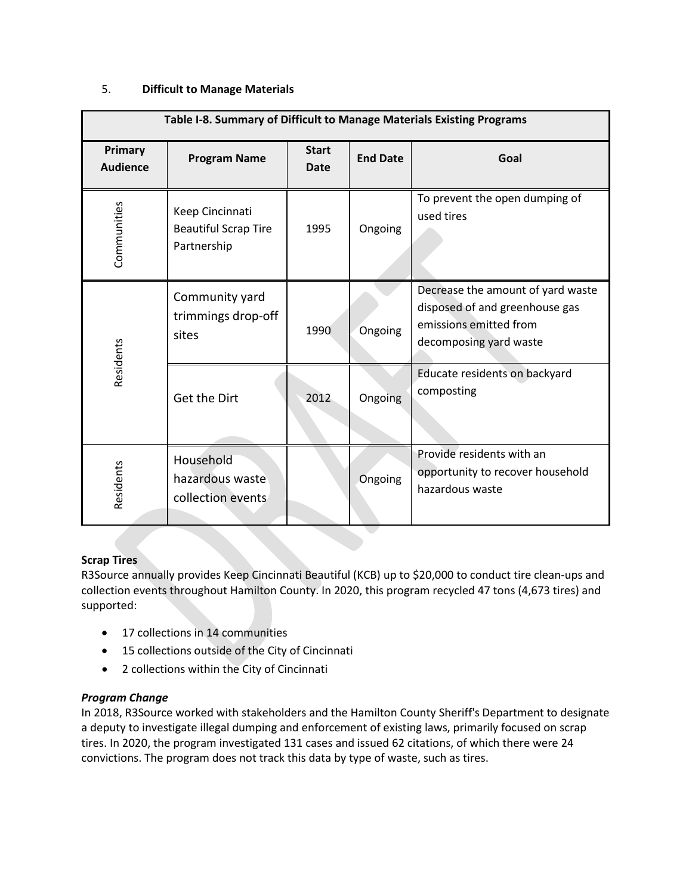### 5. **Difficult to Manage Materials**

| Table I-8. Summary of Difficult to Manage Materials Existing Programs |                                                               |                      |                 |                                                                                                                         |
|-----------------------------------------------------------------------|---------------------------------------------------------------|----------------------|-----------------|-------------------------------------------------------------------------------------------------------------------------|
| Primary<br><b>Audience</b>                                            | <b>Program Name</b>                                           | <b>Start</b><br>Date | <b>End Date</b> | Goal                                                                                                                    |
| Communities                                                           | Keep Cincinnati<br><b>Beautiful Scrap Tire</b><br>Partnership | 1995                 | Ongoing         | To prevent the open dumping of<br>used tires                                                                            |
| Residents                                                             | Community yard<br>trimmings drop-off<br>sites                 | 1990                 | Ongoing         | Decrease the amount of yard waste<br>disposed of and greenhouse gas<br>emissions emitted from<br>decomposing yard waste |
|                                                                       | Get the Dirt                                                  | 2012                 | Ongoing         | Educate residents on backyard<br>composting                                                                             |
| Residents                                                             | Household<br>hazardous waste<br>collection events             |                      | Ongoing         | Provide residents with an<br>opportunity to recover household<br>hazardous waste                                        |

### **Scrap Tires**

R3Source annually provides Keep Cincinnati Beautiful (KCB) up to \$20,000 to conduct tire clean-ups and collection events throughout Hamilton County. In 2020, this program recycled 47 tons (4,673 tires) and supported:

- 17 collections in 14 communities
- 15 collections outside of the City of Cincinnati
- 2 collections within the City of Cincinnati

#### *Program Change*

In 2018, R3Source worked with stakeholders and the Hamilton County Sheriff's Department to designate a deputy to investigate illegal dumping and enforcement of existing laws, primarily focused on scrap tires. In 2020, the program investigated 131 cases and issued 62 citations, of which there were 24 convictions. The program does not track this data by type of waste, such as tires.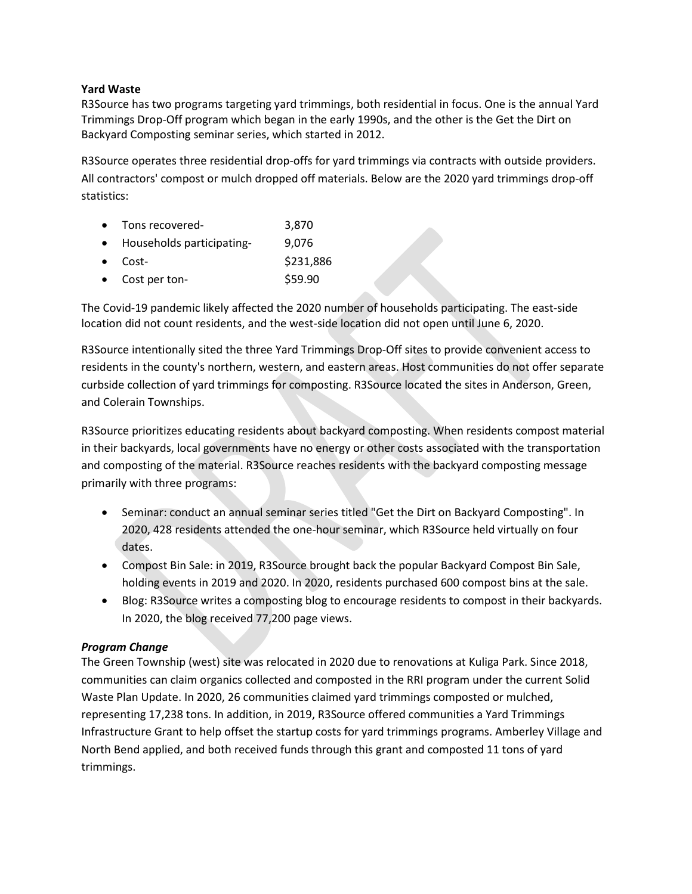#### **Yard Waste**

R3Source has two programs targeting yard trimmings, both residential in focus. One is the annual Yard Trimmings Drop-Off program which began in the early 1990s, and the other is the Get the Dirt on Backyard Composting seminar series, which started in 2012.

R3Source operates three residential drop-offs for yard trimmings via contracts with outside providers. All contractors' compost or mulch dropped off materials. Below are the 2020 yard trimmings drop-off statistics:

| • Tons recovered-           | 3,870     |
|-----------------------------|-----------|
| • Households participating- | 9,076     |
| $\bullet$ Cost-             | \$231,886 |
| • Cost per ton-             | \$59.90   |

The Covid-19 pandemic likely affected the 2020 number of households participating. The east-side location did not count residents, and the west-side location did not open until June 6, 2020.

R3Source intentionally sited the three Yard Trimmings Drop-Off sites to provide convenient access to residents in the county's northern, western, and eastern areas. Host communities do not offer separate curbside collection of yard trimmings for composting. R3Source located the sites in Anderson, Green, and Colerain Townships.

R3Source prioritizes educating residents about backyard composting. When residents compost material in their backyards, local governments have no energy or other costs associated with the transportation and composting of the material. R3Source reaches residents with the backyard composting message primarily with three programs:

- Seminar: conduct an annual seminar series titled "Get the Dirt on Backyard Composting". In 2020, 428 residents attended the one-hour seminar, which R3Source held virtually on four dates.
- Compost Bin Sale: in 2019, R3Source brought back the popular Backyard Compost Bin Sale, holding events in 2019 and 2020. In 2020, residents purchased 600 compost bins at the sale.
- Blog: R3Source writes a composting blog to encourage residents to compost in their backyards. In 2020, the blog received 77,200 page views.

### *Program Change*

The Green Township (west) site was relocated in 2020 due to renovations at Kuliga Park. Since 2018, communities can claim organics collected and composted in the RRI program under the current Solid Waste Plan Update. In 2020, 26 communities claimed yard trimmings composted or mulched, representing 17,238 tons. In addition, in 2019, R3Source offered communities a Yard Trimmings Infrastructure Grant to help offset the startup costs for yard trimmings programs. Amberley Village and North Bend applied, and both received funds through this grant and composted 11 tons of yard trimmings.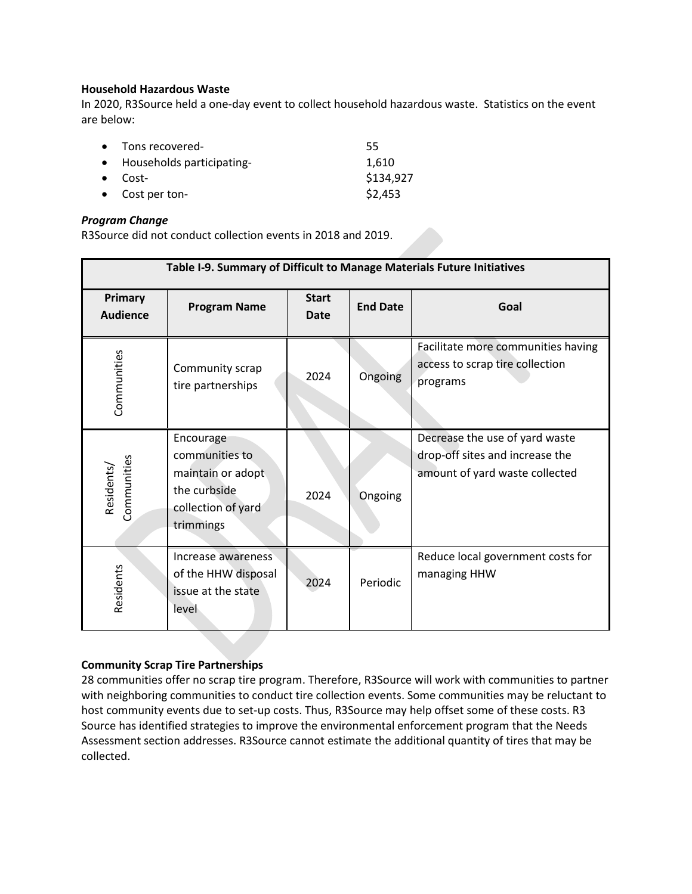#### **Household Hazardous Waste**

In 2020, R3Source held a one-day event to collect household hazardous waste. Statistics on the event are below:

| • Tons recovered-           | 55        |
|-----------------------------|-----------|
| • Households participating- | 1,610     |
| $\bullet$ Cost-             | \$134,927 |
| $\bullet$ Cost per ton-     | \$2,453   |

#### *Program Change*

R3Source did not conduct collection events in 2018 and 2019.

| Table I-9. Summary of Difficult to Manage Materials Future Initiatives |                                                                                                     |                             |                 |                                                                                                     |
|------------------------------------------------------------------------|-----------------------------------------------------------------------------------------------------|-----------------------------|-----------------|-----------------------------------------------------------------------------------------------------|
| Primary<br><b>Audience</b>                                             | <b>Program Name</b>                                                                                 | <b>Start</b><br><b>Date</b> | <b>End Date</b> | Goal                                                                                                |
| Communities                                                            | Community scrap<br>tire partnerships                                                                | 2024                        | Ongoing         | Facilitate more communities having<br>access to scrap tire collection<br>programs                   |
| Communities<br>Residents/                                              | Encourage<br>communities to<br>maintain or adopt<br>the curbside<br>collection of yard<br>trimmings | 2024                        | Ongoing         | Decrease the use of yard waste<br>drop-off sites and increase the<br>amount of yard waste collected |
| Residents                                                              | Increase awareness<br>of the HHW disposal<br>issue at the state<br>level                            | 2024                        | Periodic        | Reduce local government costs for<br>managing HHW                                                   |

#### **Community Scrap Tire Partnerships**

28 communities offer no scrap tire program. Therefore, R3Source will work with communities to partner with neighboring communities to conduct tire collection events. Some communities may be reluctant to host community events due to set-up costs. Thus, R3Source may help offset some of these costs. R3 Source has identified strategies to improve the environmental enforcement program that the Needs Assessment section addresses. R3Source cannot estimate the additional quantity of tires that may be collected.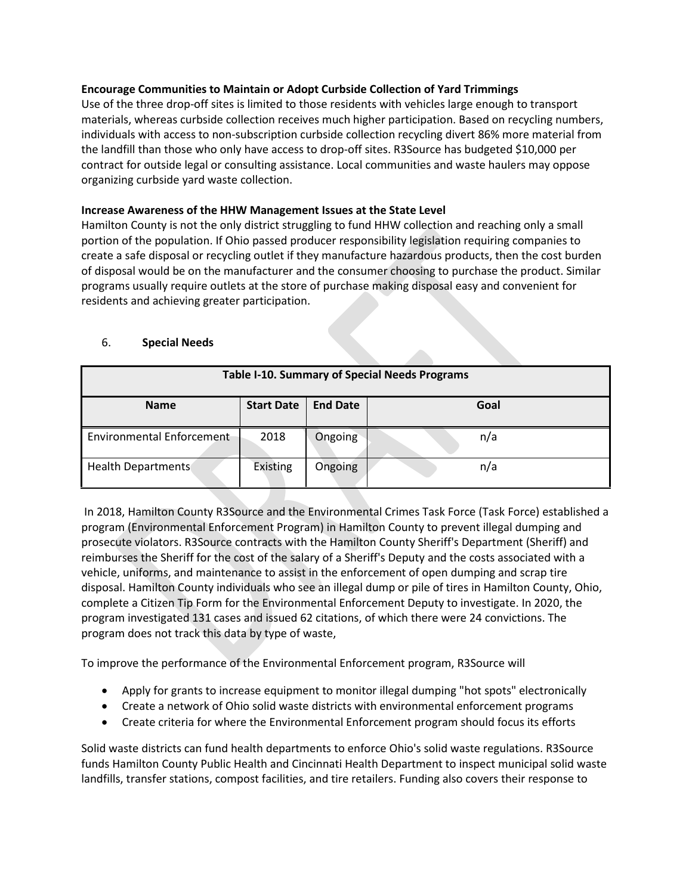#### **Encourage Communities to Maintain or Adopt Curbside Collection of Yard Trimmings**

Use of the three drop-off sites is limited to those residents with vehicles large enough to transport materials, whereas curbside collection receives much higher participation. Based on recycling numbers, individuals with access to non-subscription curbside collection recycling divert 86% more material from the landfill than those who only have access to drop-off sites. R3Source has budgeted \$10,000 per contract for outside legal or consulting assistance. Local communities and waste haulers may oppose organizing curbside yard waste collection.

### **Increase Awareness of the HHW Management Issues at the State Level**

Hamilton County is not the only district struggling to fund HHW collection and reaching only a small portion of the population. If Ohio passed producer responsibility legislation requiring companies to create a safe disposal or recycling outlet if they manufacture hazardous products, then the cost burden of disposal would be on the manufacturer and the consumer choosing to purchase the product. Similar programs usually require outlets at the store of purchase making disposal easy and convenient for residents and achieving greater participation.

### 6. **Special Needs**

| Table I-10. Summary of Special Needs Programs |                   |                 |      |  |
|-----------------------------------------------|-------------------|-----------------|------|--|
| <b>Name</b>                                   | <b>Start Date</b> | <b>End Date</b> | Goal |  |
| <b>Environmental Enforcement</b>              | 2018              | Ongoing         | n/a  |  |
| Health Departments                            | <b>Existing</b>   | Ongoing         | n/a  |  |

In 2018, Hamilton County R3Source and the Environmental Crimes Task Force (Task Force) established a program (Environmental Enforcement Program) in Hamilton County to prevent illegal dumping and prosecute violators. R3Source contracts with the Hamilton County Sheriff's Department (Sheriff) and reimburses the Sheriff for the cost of the salary of a Sheriff's Deputy and the costs associated with a vehicle, uniforms, and maintenance to assist in the enforcement of open dumping and scrap tire disposal. Hamilton County individuals who see an illegal dump or pile of tires in Hamilton County, Ohio, complete a Citizen Tip Form for the Environmental Enforcement Deputy to investigate. In 2020, the program investigated 131 cases and issued 62 citations, of which there were 24 convictions. The program does not track this data by type of waste,

To improve the performance of the Environmental Enforcement program, R3Source will

- Apply for grants to increase equipment to monitor illegal dumping "hot spots" electronically
- Create a network of Ohio solid waste districts with environmental enforcement programs
- Create criteria for where the Environmental Enforcement program should focus its efforts

Solid waste districts can fund health departments to enforce Ohio's solid waste regulations. R3Source funds Hamilton County Public Health and Cincinnati Health Department to inspect municipal solid waste landfills, transfer stations, compost facilities, and tire retailers. Funding also covers their response to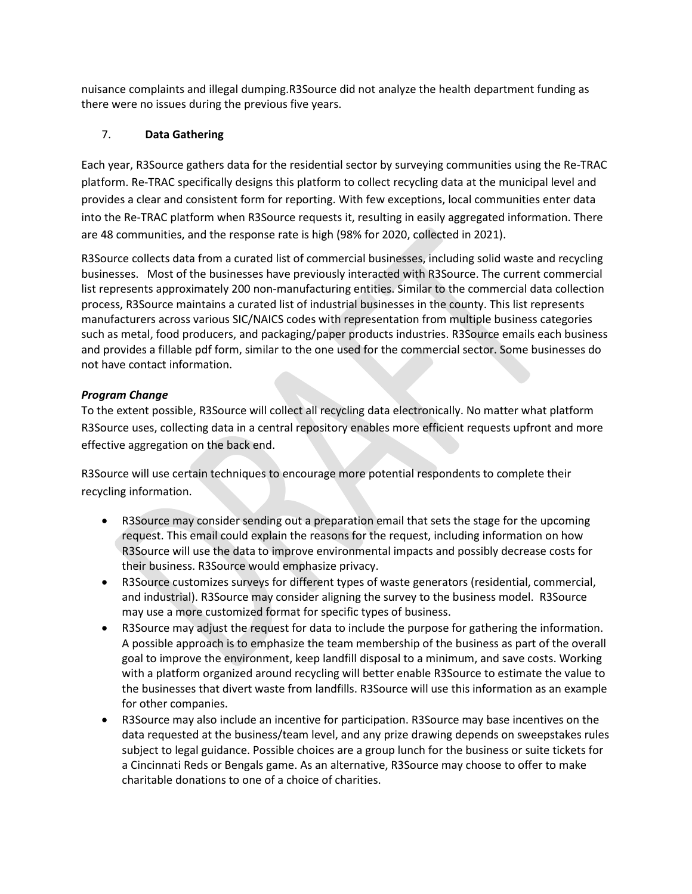nuisance complaints and illegal dumping.R3Source did not analyze the health department funding as there were no issues during the previous five years.

### 7. **Data Gathering**

Each year, R3Source gathers data for the residential sector by surveying communities using the Re-TRAC platform. Re-TRAC specifically designs this platform to collect recycling data at the municipal level and provides a clear and consistent form for reporting. With few exceptions, local communities enter data into the Re-TRAC platform when R3Source requests it, resulting in easily aggregated information. There are 48 communities, and the response rate is high (98% for 2020, collected in 2021).

R3Source collects data from a curated list of commercial businesses, including solid waste and recycling businesses. Most of the businesses have previously interacted with R3Source. The current commercial list represents approximately 200 non-manufacturing entities. Similar to the commercial data collection process, R3Source maintains a curated list of industrial businesses in the county. This list represents manufacturers across various SIC/NAICS codes with representation from multiple business categories such as metal, food producers, and packaging/paper products industries. R3Source emails each business and provides a fillable pdf form, similar to the one used for the commercial sector. Some businesses do not have contact information.

### *Program Change*

To the extent possible, R3Source will collect all recycling data electronically. No matter what platform R3Source uses, collecting data in a central repository enables more efficient requests upfront and more effective aggregation on the back end.

R3Source will use certain techniques to encourage more potential respondents to complete their recycling information.

- R3Source may consider sending out a preparation email that sets the stage for the upcoming request. This email could explain the reasons for the request, including information on how R3Source will use the data to improve environmental impacts and possibly decrease costs for their business. R3Source would emphasize privacy.
- R3Source customizes surveys for different types of waste generators (residential, commercial, and industrial). R3Source may consider aligning the survey to the business model. R3Source may use a more customized format for specific types of business.
- R3Source may adjust the request for data to include the purpose for gathering the information. A possible approach is to emphasize the team membership of the business as part of the overall goal to improve the environment, keep landfill disposal to a minimum, and save costs. Working with a platform organized around recycling will better enable R3Source to estimate the value to the businesses that divert waste from landfills. R3Source will use this information as an example for other companies.
- R3Source may also include an incentive for participation. R3Source may base incentives on the data requested at the business/team level, and any prize drawing depends on sweepstakes rules subject to legal guidance. Possible choices are a group lunch for the business or suite tickets for a Cincinnati Reds or Bengals game. As an alternative, R3Source may choose to offer to make charitable donations to one of a choice of charities.